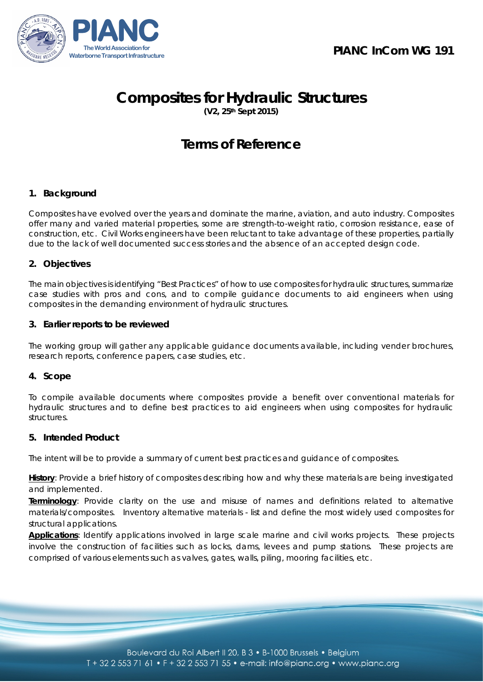

# **Composites for Hydraulic Structures**

**(V2, 25th Sept 2015)**

# **Terms of Reference**

# **1. Background**

Composites have evolved over the years and dominate the marine, aviation, and auto industry. Composites offer many and varied material properties, some are strength-to-weight ratio, corrosion resistance, ease of construction, etc. Civil Works engineers have been reluctant to take advantage of these properties, partially due to the lack of well documented success stories and the absence of an accepted design code.

# **2. Objectives**

The main objectives is identifying "Best Practices" of how to use composites for hydraulic structures, summarize case studies with pros and cons, and to compile guidance documents to aid engineers when using composites in the demanding environment of hydraulic structures.

# **3. Earlier reports to be reviewed**

The working group will gather any applicable guidance documents available, including vender brochures, research reports, conference papers, case studies, etc.

# **4. Scope**

To compile available documents where composites provide a benefit over conventional materials for hydraulic structures and to define best practices to aid engineers when using composites for hydraulic structures.

# **5. Intended Product**

The intent will be to provide a summary of current best practices and guidance of composites.

**History**: Provide a brief history of composites describing how and why these materials are being investigated and implemented.

**Terminology**: Provide clarity on the use and misuse of names and definitions related to alternative materials/composites. Inventory alternative materials - list and define the most widely used composites for structural applications.

**Applications**: Identify applications involved in large scale marine and civil works projects. These projects involve the construction of facilities such as locks, dams, levees and pump stations. These projects are comprised of various elements such as valves, gates, walls, piling, mooring facilities, etc.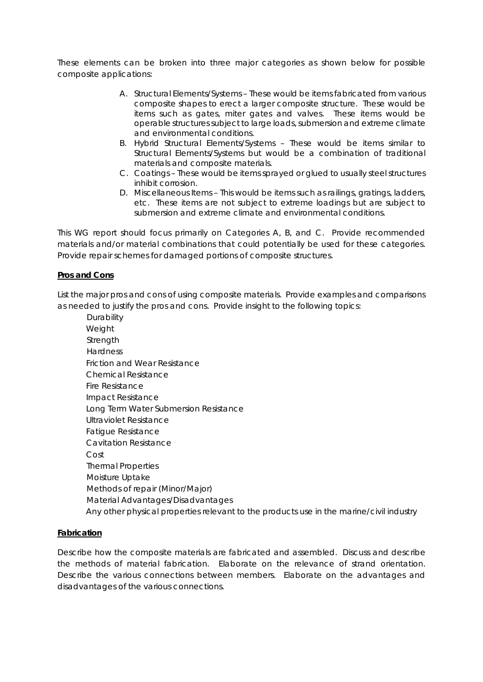These elements can be broken into three major categories as shown below for possible composite applications:

- A. Structural Elements/Systems These would be items fabricated from various composite shapes to erect a larger composite structure. These would be items such as gates, miter gates and valves. These items would be operable structures subject to large loads, submersion and extreme climate and environmental conditions.
- B. Hybrid Structural Elements/Systems These would be items similar to Structural Elements/Systems but would be a combination of traditional materials and composite materials.
- C. Coatings These would be items sprayed or glued to usually steel structures inhibit corrosion.
- D. Miscellaneous Items This would be items such as railings, gratings, ladders, etc. These items are not subject to extreme loadings but are subject to submersion and extreme climate and environmental conditions.

This WG report should focus primarily on Categories A, B, and C. Provide recommended materials and/or material combinations that could potentially be used for these categories. Provide repair schemes for damaged portions of composite structures.

#### **Pros and Cons**

List the major pros and cons of using composite materials. Provide examples and comparisons as needed to justify the pros and cons. Provide insight to the following topics:

**Durability** Weight **Strength Hardness** Friction and Wear Resistance Chemical Resistance Fire Resistance Impact Resistance Long Term Water Submersion Resistance Ultraviolet Resistance Fatigue Resistance Cavitation Resistance Cost Thermal Properties Moisture Uptake Methods of repair (Minor/Major) Material Advantages/Disadvantages Any other physical properties relevant to the products use in the marine/civil industry

#### **Fabrication**

Describe how the composite materials are fabricated and assembled. Discuss and describe the methods of material fabrication. Elaborate on the relevance of strand orientation. Describe the various connections between members. Elaborate on the advantages and disadvantages of the various connections.